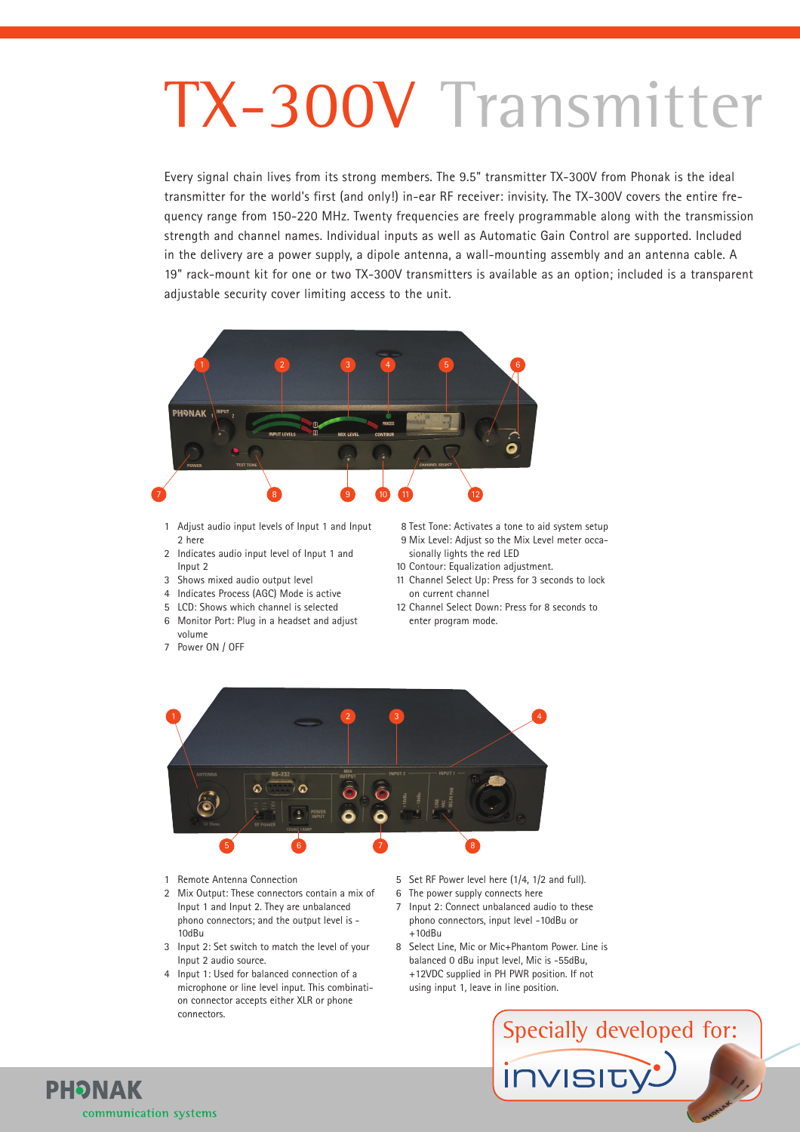# TX-300V Transmitter

Every signal chain lives from its strong members. The 9.5" transmitter TX-300V from Phonak is the ideal transmitter for the world's first (and only!) in-ear RF receiver: invisity. The TX-300V covers the entire frequency range from 150-220 MHz. Twenty frequencies are freely programmable along with the transmission strength and channel names. Individual inputs as well as Automatic Gain Control are supported. Included in the delivery are a power supply, a dipole antenna, a wall-mounting assembly and an antenna cable. A 19" rack-mount kit for one or two TX-300V transmitters is available as an option; included is a transparent adjustable security cover limiting access to the unit.



- 1 Adjust audio input levels of Input 1 and Input 2 here
- 2 Indicates audio input level of Input 1 and Input 2
- 3 Shows mixed audio output level
- 4 Indicates Process (AGC) Mode is active
- 5 LCD: Shows which channel is selected
- 6 Monitor Port: Plug in a headset and adjust volume
- 7 Power ON / OFF
- 8 Test Tone: Activates a tone to aid system setup 9 Mix Level: Adjust so the Mix Level meter occa-
- sionally lights the red LED 10 Contour: Equalization adjustment.
- 11 Channel Select Up: Press for 3 seconds to lock on current channel
- 12 Channel Select Down: Press for 8 seconds to enter program mode.



1 Remote Antenna Connection

**PHONAK** 

communication systems

- 2 Mix Output: These connectors contain a mix of Input 1 and Input 2. They are unbalanced phono connectors; and the output level is - 10dBu
- 3 Input 2: Set switch to match the level of your Input 2 audio source.
- 4 Input 1: Used for balanced connection of a microphone or line level input. This combination connector accepts either XLR or phone connectors.
- 5 Set RF Power level here (1/4, 1/2 and full).
- 6 The power supply connects here
- 7 Input 2: Connect unbalanced audio to these phono connectors, input level -10dBu or  $+10$ d $Ru$
- 8 Select Line, Mic or Mic+Phantom Power. Line is balanced 0 dBu input level, Mic is -55dBu, +12VDC supplied in PH PWR position. If not using input 1, leave in line position.